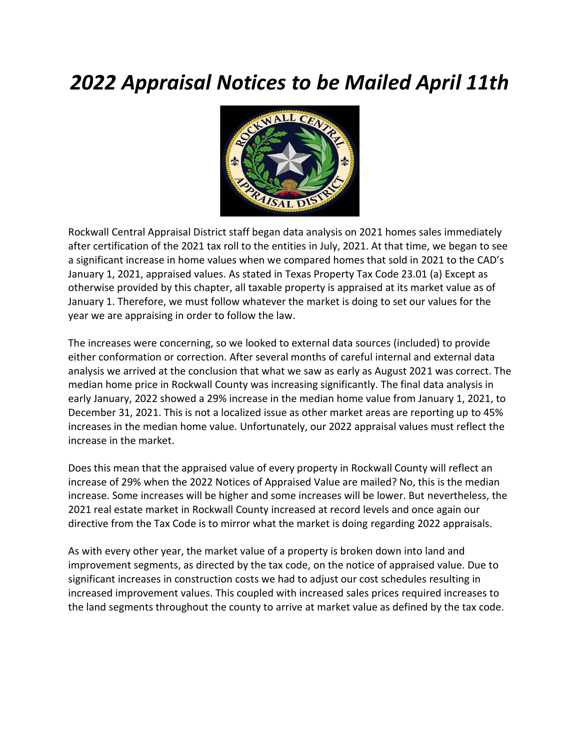## *2022 Appraisal Notices to be Mailed April 11th*



Rockwall Central Appraisal District staff began data analysis on 2021 homes sales immediately after certification of the 2021 tax roll to the entities in July, 2021. At that time, we began to see a significant increase in home values when we compared homes that sold in 2021 to the CAD's January 1, 2021, appraised values. As stated in Texas Property Tax Code 23.01 (a) Except as otherwise provided by this chapter, all taxable property is appraised at its market value as of January 1. Therefore, we must follow whatever the market is doing to set our values for the year we are appraising in order to follow the law.

The increases were concerning, so we looked to external data sources (included) to provide either conformation or correction. After several months of careful internal and external data analysis we arrived at the conclusion that what we saw as early as August 2021 was correct. The median home price in Rockwall County was increasing significantly. The final data analysis in early January, 2022 showed a 29% increase in the median home value from January 1, 2021, to December 31, 2021. This is not a localized issue as other market areas are reporting up to 45% increases in the median home value. Unfortunately, our 2022 appraisal values must reflect the increase in the market.

Does this mean that the appraised value of every property in Rockwall County will reflect an increase of 29% when the 2022 Notices of Appraised Value are mailed? No, this is the median increase. Some increases will be higher and some increases will be lower. But nevertheless, the 2021 real estate market in Rockwall County increased at record levels and once again our directive from the Tax Code is to mirror what the market is doing regarding 2022 appraisals.

As with every other year, the market value of a property is broken down into land and improvement segments, as directed by the tax code, on the notice of appraised value. Due to significant increases in construction costs we had to adjust our cost schedules resulting in increased improvement values. This coupled with increased sales prices required increases to the land segments throughout the county to arrive at market value as defined by the tax code.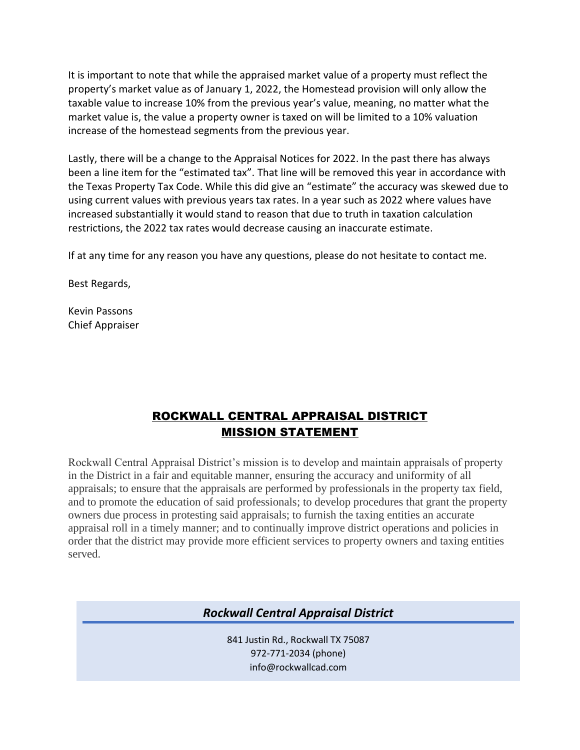It is important to note that while the appraised market value of a property must reflect the property's market value as of January 1, 2022, the Homestead provision will only allow the taxable value to increase 10% from the previous year's value, meaning, no matter what the market value is, the value a property owner is taxed on will be limited to a 10% valuation increase of the homestead segments from the previous year.

Lastly, there will be a change to the Appraisal Notices for 2022. In the past there has always been a line item for the "estimated tax". That line will be removed this year in accordance with the Texas Property Tax Code. While this did give an "estimate" the accuracy was skewed due to using current values with previous years tax rates. In a year such as 2022 where values have increased substantially it would stand to reason that due to truth in taxation calculation restrictions, the 2022 tax rates would decrease causing an inaccurate estimate.

If at any time for any reason you have any questions, please do not hesitate to contact me.

Best Regards,

Kevin Passons Chief Appraiser

## ROCKWALL CENTRAL APPRAISAL DISTRICT MISSION STATEMENT

Rockwall Central Appraisal District's mission is to develop and maintain appraisals of property in the District in a fair and equitable manner, ensuring the accuracy and uniformity of all appraisals; to ensure that the appraisals are performed by professionals in the property tax field, and to promote the education of said professionals; to develop procedures that grant the property owners due process in protesting said appraisals; to furnish the taxing entities an accurate appraisal roll in a timely manner; and to continually improve district operations and policies in order that the district may provide more efficient services to property owners and taxing entities served.

*Rockwall Central Appraisal District*

841 Justin Rd., Rockwall TX 75087 972-771-2034 (phone) info@rockwallcad.com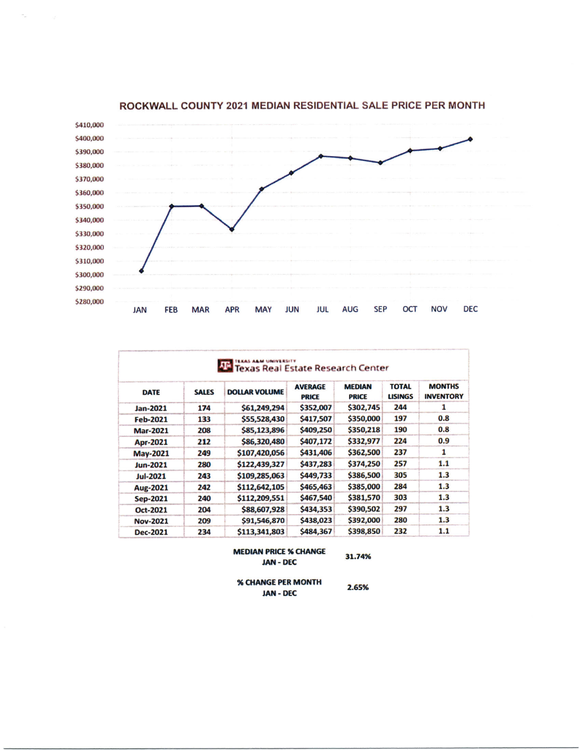

ROCKWALL COUNTY 2021 MEDIAN RESIDENTIAL SALE PRICE PER MONTH

 $\sigma_{\rm eff}$ 

| <b>DATE</b>     | <b>SALES</b> | <b>DOLLAR VOLUME</b> | <b>AVERAGE</b><br><b>PRICE</b> | <b>MEDIAN</b><br><b>PRICE</b> | <b>TOTAL</b><br><b>LISINGS</b> | <b>MONTHS</b><br><b>INVENTORY</b> |
|-----------------|--------------|----------------------|--------------------------------|-------------------------------|--------------------------------|-----------------------------------|
| Jan-2021        | 174          | \$61,249,294         | \$352,007                      | \$302,745                     | 244                            | ı                                 |
| <b>Feb-2021</b> | 133          | \$55,528,430         | \$417,507                      | \$350,000                     | 197                            | 0.8                               |
| <b>Mar-2021</b> | 208          | \$85,123,896         | \$409,250                      | \$350,218                     | 190                            | 0.8                               |
| Apr-2021        | 212          | \$86,320,480         | \$407,172                      | \$332,977                     | 224                            | 0.9                               |
| <b>May-2021</b> | 249          | \$107,420,056        | \$431,406                      | \$362,500                     | 237                            | 1                                 |
| Jun-2021        | 280          | \$122,439,327        | \$437,283                      | \$374,250                     | 257                            | 1.1                               |
| Jul-2021        | 243          | \$109,285,063        | \$449,733                      | \$386,500                     | 305                            | 1.3                               |
| Aug-2021        | 242          | \$112,642,105        | \$465,463                      | \$385,000                     | 284                            | 1.3                               |
| Sep-2021        | 240          | \$112,209,551        | \$467,540                      | \$381,570                     | 303                            | 1.3                               |
| Oct-2021        | 204          | \$88,607,928         | \$434,353                      | \$390,502                     | 297                            | 1.3                               |
| <b>Nov-2021</b> | 209          | \$91,546,870         | \$438,023                      | \$392,000                     | 280                            | 1.3                               |
| Dec-2021        | 234          | \$113,341,803        | \$484,367                      | \$398,850                     | 232                            | 1.1                               |

## **MEDIAN PRICE % CHANGE JAN - DEC**

31.74%

% CHANGE PER MONTH **JAN - DEC** 

2.65%